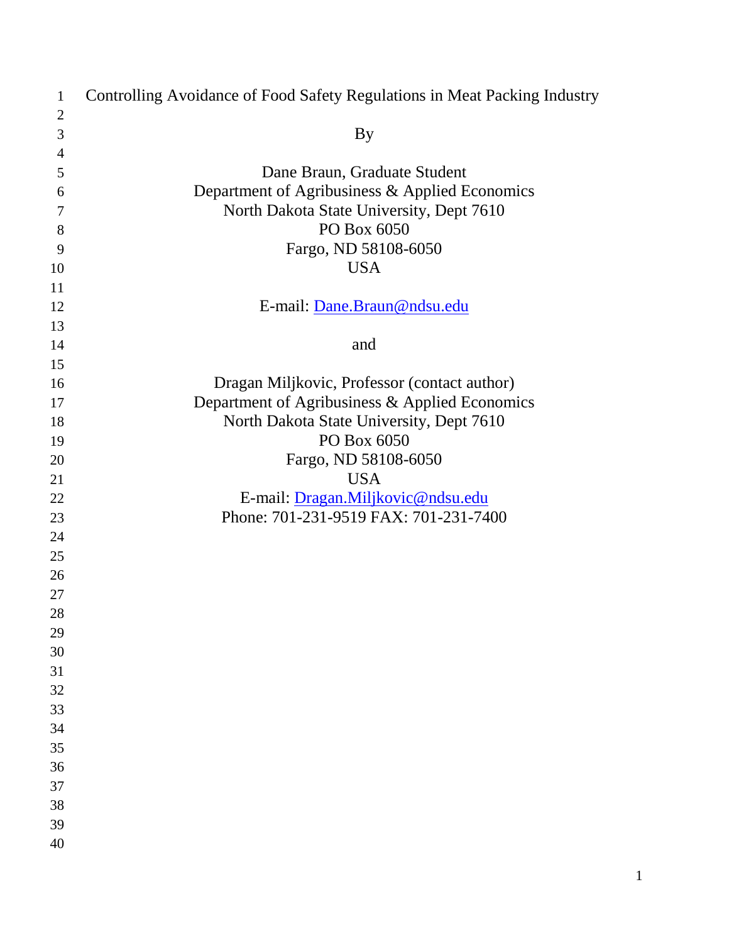| $\mathbf{1}$   | Controlling Avoidance of Food Safety Regulations in Meat Packing Industry  |
|----------------|----------------------------------------------------------------------------|
| $\overline{2}$ |                                                                            |
| $\mathfrak{Z}$ | <b>By</b>                                                                  |
| $\overline{4}$ |                                                                            |
| 5              | Dane Braun, Graduate Student                                               |
| 6              | Department of Agribusiness & Applied Economics                             |
| $\tau$         | North Dakota State University, Dept 7610                                   |
| 8              | PO Box 6050                                                                |
| 9              | Fargo, ND 58108-6050                                                       |
| 10             | <b>USA</b>                                                                 |
| 11             |                                                                            |
| 12             | E-mail: Dane.Braun@ndsu.edu                                                |
| 13             |                                                                            |
| 14             | and                                                                        |
| 15             |                                                                            |
| 16             | Dragan Miljkovic, Professor (contact author)                               |
| 17             | Department of Agribusiness & Applied Economics                             |
| 18             | North Dakota State University, Dept 7610                                   |
| 19             | PO Box 6050                                                                |
| 20             | Fargo, ND 58108-6050                                                       |
| 21             | <b>USA</b>                                                                 |
| 22             | E-mail: Dragan.Miljkovic@ndsu.edu<br>Phone: 701-231-9519 FAX: 701-231-7400 |
| 23             |                                                                            |
| 24             |                                                                            |
| 25             |                                                                            |
| 26<br>27       |                                                                            |
| 28             |                                                                            |
| 29             |                                                                            |
| 30             |                                                                            |
| 31             |                                                                            |
| 32             |                                                                            |
| 33             |                                                                            |
| 34             |                                                                            |
| 35             |                                                                            |
| 36             |                                                                            |
| 37             |                                                                            |
| 38             |                                                                            |
| 39             |                                                                            |
| 40             |                                                                            |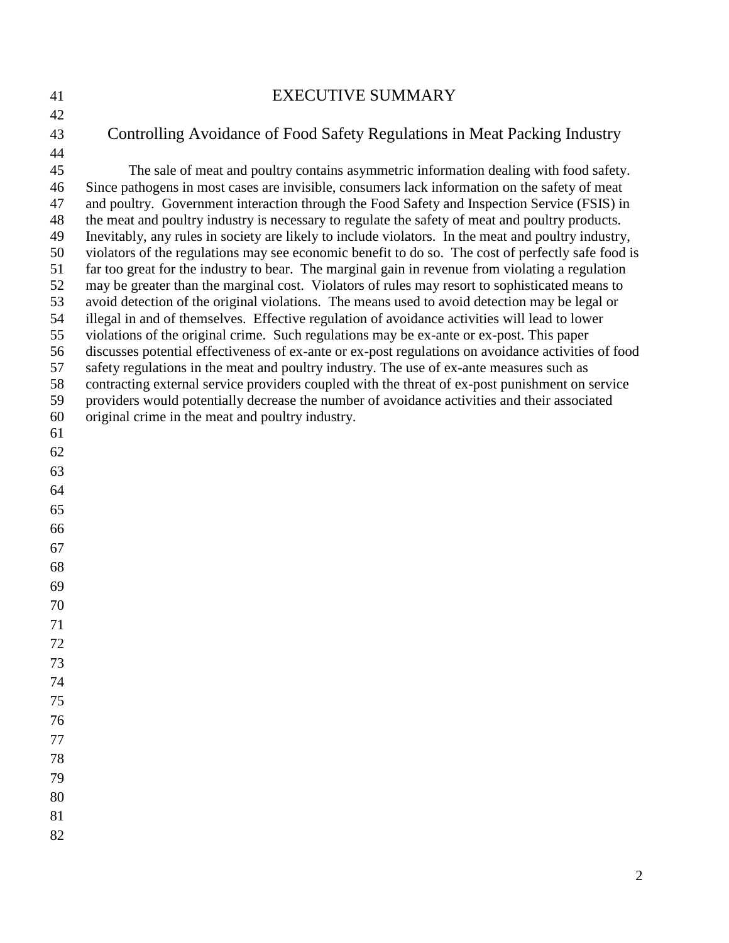# EXECUTIVE SUMMARY

Controlling Avoidance of Food Safety Regulations in Meat Packing Industry

- 45 The sale of meat and poultry contains asymmetric information dealing with food safety. 46 Since pathogens in most cases are invisible, consumers lack information on the safety of meat 47 and poultry. Government interaction through the Food Safety and Inspection Service (FSIS) in 48 the meat and poultry industry is necessary to regulate the safety of meat and poultry products. 49 Inevitably, any rules in society are likely to include violators. In the meat and poultry industry, 50 violators of the regulations may see economic benefit to do so. The cost of perfectly safe food is 51 far too great for the industry to bear. The marginal gain in revenue from violating a regulation 52 may be greater than the marginal cost. Violators of rules may resort to sophisticated means to 53 avoid detection of the original violations. The means used to avoid detection may be legal or 54 illegal in and of themselves. Effective regulation of avoidance activities will lead to lower 55 violations of the original crime. Such regulations may be ex-ante or ex-post. This paper 56 discusses potential effectiveness of ex-ante or ex-post regulations on avoidance activities of food 57 safety regulations in the meat and poultry industry. The use of ex-ante measures such as 58 contracting external service providers coupled with the threat of ex-post punishment on service 59 providers would potentially decrease the number of avoidance activities and their associated 60 original crime in the meat and poultry industry.
- 
- 
- 
- 
- 
- 
- 
- 
- 
- 
- 
- 
- 
- 
- 
- 
-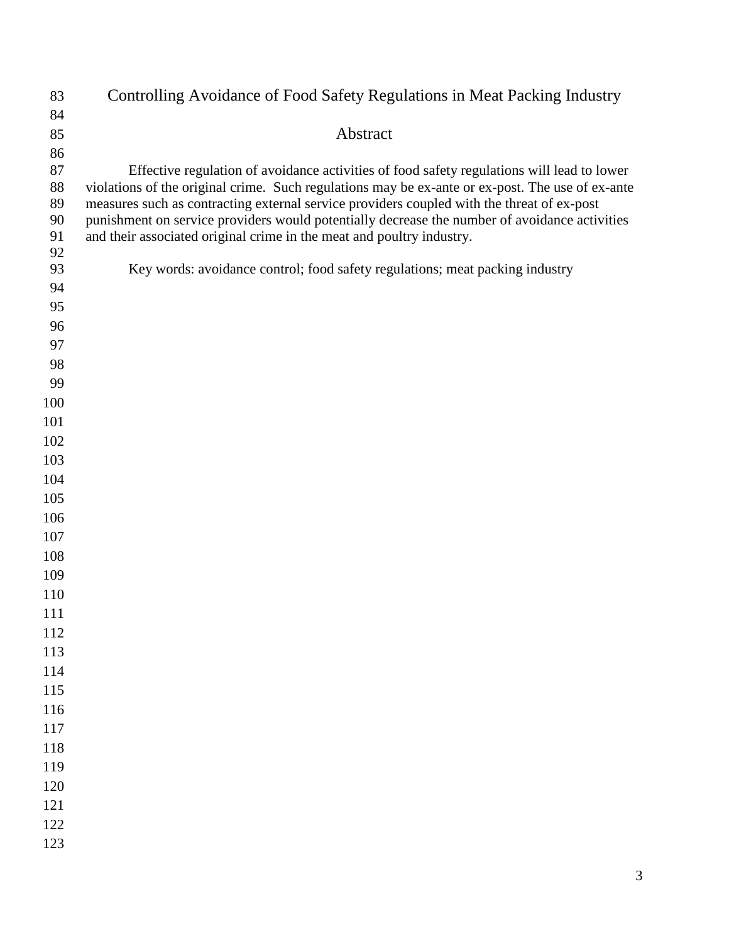| 83         | Controlling Avoidance of Food Safety Regulations in Meat Packing Industry                                                                                                                   |
|------------|---------------------------------------------------------------------------------------------------------------------------------------------------------------------------------------------|
| 84         |                                                                                                                                                                                             |
| 85         | Abstract                                                                                                                                                                                    |
| 86         |                                                                                                                                                                                             |
| 87         | Effective regulation of avoidance activities of food safety regulations will lead to lower                                                                                                  |
| 88         | violations of the original crime. Such regulations may be ex-ante or ex-post. The use of ex-ante                                                                                            |
| 89<br>90   | measures such as contracting external service providers coupled with the threat of ex-post<br>punishment on service providers would potentially decrease the number of avoidance activities |
| 91         | and their associated original crime in the meat and poultry industry.                                                                                                                       |
| 92         |                                                                                                                                                                                             |
| 93         | Key words: avoidance control; food safety regulations; meat packing industry                                                                                                                |
| 94         |                                                                                                                                                                                             |
| 95         |                                                                                                                                                                                             |
| 96         |                                                                                                                                                                                             |
| 97         |                                                                                                                                                                                             |
| 98         |                                                                                                                                                                                             |
| 99         |                                                                                                                                                                                             |
| 100        |                                                                                                                                                                                             |
| 101        |                                                                                                                                                                                             |
| 102        |                                                                                                                                                                                             |
| 103        |                                                                                                                                                                                             |
| 104<br>105 |                                                                                                                                                                                             |
| 106        |                                                                                                                                                                                             |
| 107        |                                                                                                                                                                                             |
| 108        |                                                                                                                                                                                             |
| 109        |                                                                                                                                                                                             |
| 110        |                                                                                                                                                                                             |
| 111        |                                                                                                                                                                                             |
| 112        |                                                                                                                                                                                             |
| 113        |                                                                                                                                                                                             |
| 114        |                                                                                                                                                                                             |
| 115        |                                                                                                                                                                                             |
| 116        |                                                                                                                                                                                             |
| 117        |                                                                                                                                                                                             |
| 118        |                                                                                                                                                                                             |
| 119        |                                                                                                                                                                                             |
| 120        |                                                                                                                                                                                             |
| 121        |                                                                                                                                                                                             |
| 122        |                                                                                                                                                                                             |
| 123        |                                                                                                                                                                                             |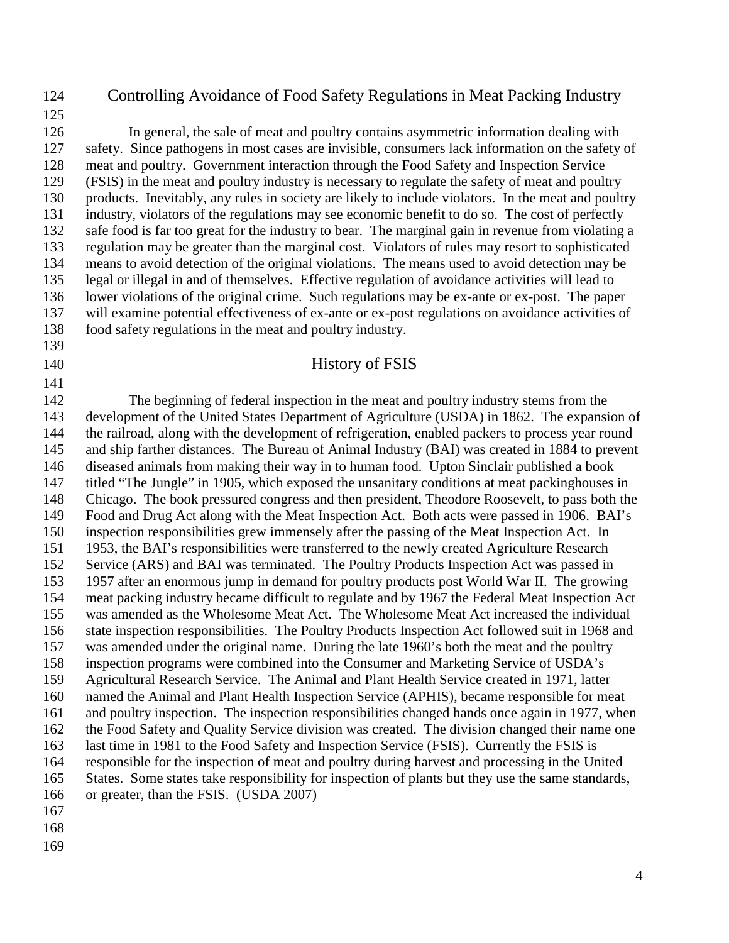## 124 Controlling Avoidance of Food Safety Regulations in Meat Packing Industry

125

126 In general, the sale of meat and poultry contains asymmetric information dealing with 127 safety. Since pathogens in most cases are invisible, consumers lack information on the safety of 128 meat and poultry. Government interaction through the Food Safety and Inspection Service 129 (FSIS) in the meat and poultry industry is necessary to regulate the safety of meat and poultry 130 products. Inevitably, any rules in society are likely to include violators. In the meat and poultry 131 industry, violators of the regulations may see economic benefit to do so. The cost of perfectly 132 safe food is far too great for the industry to bear. The marginal gain in revenue from violating a 133 regulation may be greater than the marginal cost. Violators of rules may resort to sophisticated 134 means to avoid detection of the original violations. The means used to avoid detection may be 135 legal or illegal in and of themselves. Effective regulation of avoidance activities will lead to

136 lower violations of the original crime. Such regulations may be ex-ante or ex-post. The paper 137 will examine potential effectiveness of ex-ante or ex-post regulations on avoidance activities of 138 food safety regulations in the meat and poultry industry.

139

#### 140 History of FSIS

141 142 The beginning of federal inspection in the meat and poultry industry stems from the 143 development of the United States Department of Agriculture (USDA) in 1862. The expansion of 144 the railroad, along with the development of refrigeration, enabled packers to process year round 145 and ship farther distances. The Bureau of Animal Industry (BAI) was created in 1884 to prevent 146 diseased animals from making their way in to human food. Upton Sinclair published a book 147 titled "The Jungle" in 1905, which exposed the unsanitary conditions at meat packinghouses in 148 Chicago. The book pressured congress and then president, Theodore Roosevelt, to pass both the 149 Food and Drug Act along with the Meat Inspection Act. Both acts were passed in 1906. BAI's 150 inspection responsibilities grew immensely after the passing of the Meat Inspection Act. In 151 1953, the BAI's responsibilities were transferred to the newly created Agriculture Research 152 Service (ARS) and BAI was terminated. The Poultry Products Inspection Act was passed in 153 1957 after an enormous jump in demand for poultry products post World War II. The growing 154 meat packing industry became difficult to regulate and by 1967 the Federal Meat Inspection Act 155 was amended as the Wholesome Meat Act. The Wholesome Meat Act increased the individual 156 state inspection responsibilities. The Poultry Products Inspection Act followed suit in 1968 and 157 was amended under the original name. During the late 1960's both the meat and the poultry 158 inspection programs were combined into the Consumer and Marketing Service of USDA's 159 Agricultural Research Service. The Animal and Plant Health Service created in 1971, latter 160 named the Animal and Plant Health Inspection Service (APHIS), became responsible for meat 161 and poultry inspection. The inspection responsibilities changed hands once again in 1977, when 162 the Food Safety and Quality Service division was created. The division changed their name one 163 last time in 1981 to the Food Safety and Inspection Service (FSIS). Currently the FSIS is 164 responsible for the inspection of meat and poultry during harvest and processing in the United 165 States. Some states take responsibility for inspection of plants but they use the same standards, 166 or greater, than the FSIS. (USDA 2007) 167

- 168
- 169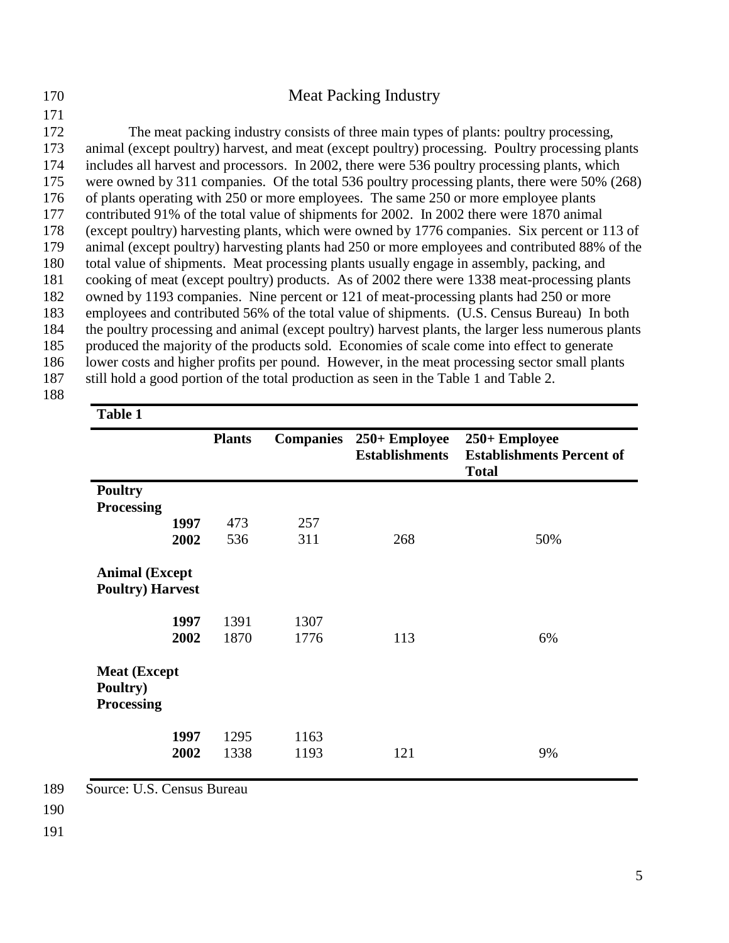| 170 | <b>Meat Packing Industry</b>                                                                       |
|-----|----------------------------------------------------------------------------------------------------|
| 171 |                                                                                                    |
| 172 | The meat packing industry consists of three main types of plants: poultry processing,              |
| 173 | animal (except poultry) harvest, and meat (except poultry) processing. Poultry processing plants   |
| 174 | includes all harvest and processors. In 2002, there were 536 poultry processing plants, which      |
| 175 | were owned by 311 companies. Of the total 536 poultry processing plants, there were 50% (268)      |
| 176 | of plants operating with 250 or more employees. The same 250 or more employee plants               |
| 177 | contributed 91% of the total value of shipments for 2002. In 2002 there were 1870 animal           |
| 178 | (except poultry) harvesting plants, which were owned by 1776 companies. Six percent or 113 of      |
| 179 | animal (except poultry) harvesting plants had 250 or more employees and contributed 88% of the     |
| 180 | total value of shipments. Meat processing plants usually engage in assembly, packing, and          |
| 181 | cooking of meat (except poultry) products. As of 2002 there were 1338 meat-processing plants       |
| 182 | owned by 1193 companies. Nine percent or 121 of meat-processing plants had 250 or more             |
| 183 | employees and contributed 56% of the total value of shipments. (U.S. Census Bureau) In both        |
| 184 | the poultry processing and animal (except poultry) harvest plants, the larger less numerous plants |
| 185 | produced the majority of the products sold. Economies of scale come into effect to generate        |
| 186 | lower costs and higher profits per pound. However, in the meat processing sector small plants      |
| 187 | still hold a good portion of the total production as seen in the Table 1 and Table 2.              |
| 188 |                                                                                                    |

|                                                      | <b>Plants</b> | <b>Companies</b> | 250+ Employee<br><b>Establishments</b> | 250+ Employee<br><b>Establishments Percent of</b><br><b>Total</b> |
|------------------------------------------------------|---------------|------------------|----------------------------------------|-------------------------------------------------------------------|
| <b>Poultry</b>                                       |               |                  |                                        |                                                                   |
| <b>Processing</b>                                    |               |                  |                                        |                                                                   |
| 1997                                                 | 473           | 257              |                                        |                                                                   |
| 2002                                                 | 536           | 311              | 268                                    | 50%                                                               |
| <b>Animal (Except</b><br><b>Poultry)</b> Harvest     |               |                  |                                        |                                                                   |
| 1997                                                 | 1391          | 1307             |                                        |                                                                   |
| 2002                                                 | 1870          | 1776             | 113                                    | 6%                                                                |
| <b>Meat (Except</b><br>Poultry)<br><b>Processing</b> |               |                  |                                        |                                                                   |
| 1997                                                 | 1295          | 1163             |                                        |                                                                   |
| 2002                                                 | 1338          | 1193             | 121                                    | 9%                                                                |

189 Source: U.S. Census Bureau

190

191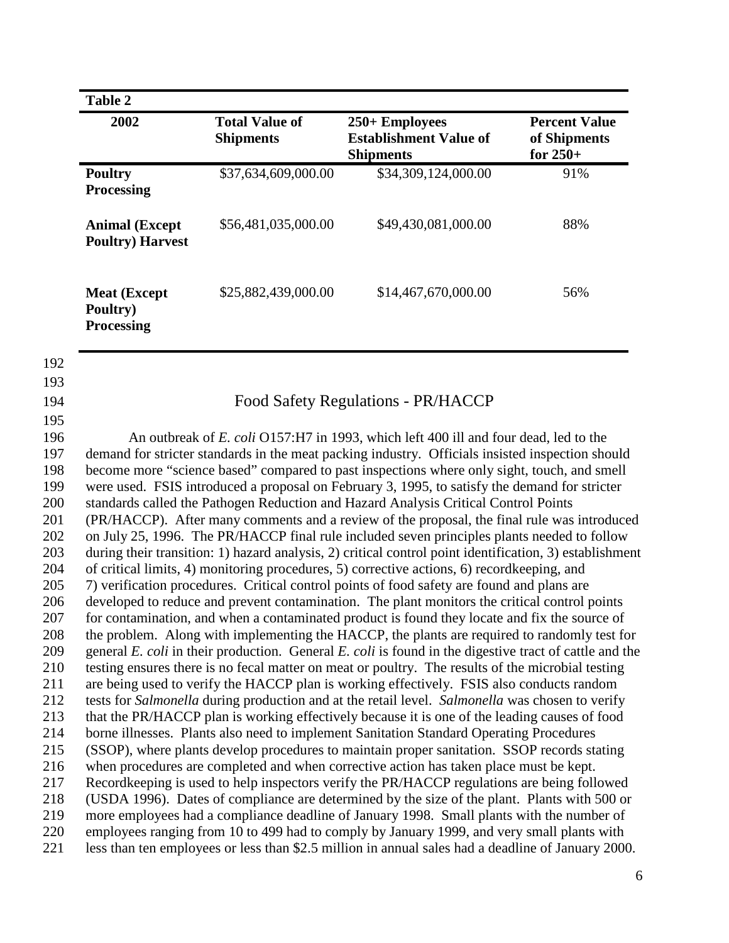| 2002                                                                                 | <b>Total Value of</b><br><b>Shipments</b> | 250+ Employees<br><b>Establishment Value of</b><br><b>Shipments</b> | <b>Percent Value</b><br>of Shipments<br>for $250+$ |  |
|--------------------------------------------------------------------------------------|-------------------------------------------|---------------------------------------------------------------------|----------------------------------------------------|--|
| <b>Poultry</b><br><b>Processing</b>                                                  | \$37,634,609,000.00                       | \$34,309,124,000.00                                                 | 91%                                                |  |
| <b>Animal (Except</b><br><b>Poultry) Harvest</b>                                     | \$56,481,035,000.00                       | \$49,430,081,000.00                                                 | 88%                                                |  |
| <b>Meat (Except</b><br>Poultry)<br><b>Processing</b>                                 | \$25,882,439,000.00                       | \$14,467,670,000.00                                                 | 56%                                                |  |
|                                                                                      |                                           |                                                                     |                                                    |  |
|                                                                                      |                                           | Food Safety Regulations - PR/HACCP                                  |                                                    |  |
| An outbreak of E. coli O157:H7 in 1993, which left 400 ill and four dead, led to the |                                           |                                                                     |                                                    |  |

197 demand for stricter standards in the meat packing industry. Officials insisted inspection should 198 become more "science based" compared to past inspections where only sight, touch, and smell 199 were used. FSIS introduced a proposal on February 3, 1995, to satisfy the demand for stricter 200 standards called the Pathogen Reduction and Hazard Analysis Critical Control Points 201 (PR/HACCP). After many comments and a review of the proposal, the final rule was introduced 202 on July 25, 1996. The PR/HACCP final rule included seven principles plants needed to follow 203 during their transition: 1) hazard analysis, 2) critical control point identification, 3) establishment 204 of critical limits, 4) monitoring procedures, 5) corrective actions, 6) recordkeeping, and 205 7) verification procedures. Critical control points of food safety are found and plans are 206 developed to reduce and prevent contamination. The plant monitors the critical control points 207 for contamination, and when a contaminated product is found they locate and fix the source of 208 the problem. Along with implementing the HACCP, the plants are required to randomly test for 209 general *E. coli* in their production. General *E. coli* is found in the digestive tract of cattle and the 210 testing ensures there is no fecal matter on meat or poultry. The results of the microbial testing 211 are being used to verify the HACCP plan is working effectively. FSIS also conducts random 212 tests for *Salmonella* during production and at the retail level. *Salmonella* was chosen to verify 213 that the PR/HACCP plan is working effectively because it is one of the leading causes of food 214 borne illnesses. Plants also need to implement Sanitation Standard Operating Procedures 215 (SSOP), where plants develop procedures to maintain proper sanitation. SSOP records stating 216 when procedures are completed and when corrective action has taken place must be kept. 217 Recordkeeping is used to help inspectors verify the PR/HACCP regulations are being followed 218 (USDA 1996). Dates of compliance are determined by the size of the plant. Plants with 500 or 219 more employees had a compliance deadline of January 1998. Small plants with the number of 220 employees ranging from 10 to 499 had to comply by January 1999, and very small plants with 221 less than ten employees or less than \$2.5 million in annual sales had a deadline of January 2000.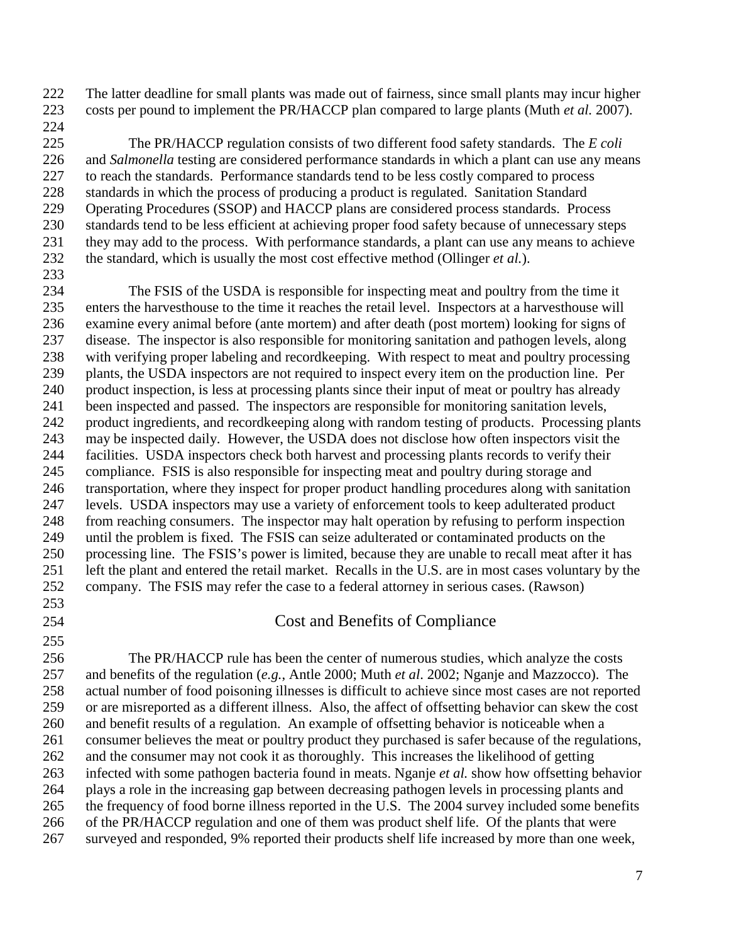222 The latter deadline for small plants was made out of fairness, since small plants may incur higher 223 costs per pound to implement the PR/HACCP plan compared to large plants (Muth *et al.* 2007). 224

225 The PR/HACCP regulation consists of two different food safety standards. The *E coli* 226 and *Salmonella* testing are considered performance standards in which a plant can use any means 227 to reach the standards. Performance standards tend to be less costly compared to process 228 standards in which the process of producing a product is regulated. Sanitation Standard 229 Operating Procedures (SSOP) and HACCP plans are considered process standards. Process 230 standards tend to be less efficient at achieving proper food safety because of unnecessary steps 231 they may add to the process. With performance standards, a plant can use any means to achieve 232 the standard, which is usually the most cost effective method (Ollinger *et al.*).

234 The FSIS of the USDA is responsible for inspecting meat and poultry from the time it 235 enters the harvesthouse to the time it reaches the retail level. Inspectors at a harvesthouse will 236 examine every animal before (ante mortem) and after death (post mortem) looking for signs of 237 disease. The inspector is also responsible for monitoring sanitation and pathogen levels, along 238 with verifying proper labeling and recordkeeping. With respect to meat and poultry processing 239 plants, the USDA inspectors are not required to inspect every item on the production line. Per 240 product inspection, is less at processing plants since their input of meat or poultry has already 241 been inspected and passed. The inspectors are responsible for monitoring sanitation levels, 242 product ingredients, and recordkeeping along with random testing of products. Processing plants 243 may be inspected daily. However, the USDA does not disclose how often inspectors visit the 244 facilities. USDA inspectors check both harvest and processing plants records to verify their 245 compliance. FSIS is also responsible for inspecting meat and poultry during storage and 246 transportation, where they inspect for proper product handling procedures along with sanitation 247 levels. USDA inspectors may use a variety of enforcement tools to keep adulterated product 248 from reaching consumers. The inspector may halt operation by refusing to perform inspection 249 until the problem is fixed. The FSIS can seize adulterated or contaminated products on the 250 processing line. The FSIS's power is limited, because they are unable to recall meat after it has 251 left the plant and entered the retail market. Recalls in the U.S. are in most cases voluntary by the 252 company. The FSIS may refer the case to a federal attorney in serious cases. (Rawson)

253

255

233

254 Cost and Benefits of Compliance

256 The PR/HACCP rule has been the center of numerous studies, which analyze the costs 257 and benefits of the regulation (*e.g.*, Antle 2000; Muth *et al*. 2002; Nganje and Mazzocco). The 258 actual number of food poisoning illnesses is difficult to achieve since most cases are not reported 259 or are misreported as a different illness. Also, the affect of offsetting behavior can skew the cost 260 and benefit results of a regulation. An example of offsetting behavior is noticeable when a 261 consumer believes the meat or poultry product they purchased is safer because of the regulations, 262 and the consumer may not cook it as thoroughly. This increases the likelihood of getting 263 infected with some pathogen bacteria found in meats. Nganje *et al.* show how offsetting behavior 264 plays a role in the increasing gap between decreasing pathogen levels in processing plants and 265 the frequency of food borne illness reported in the U.S. The 2004 survey included some benefits 266 of the PR/HACCP regulation and one of them was product shelf life. Of the plants that were 267 surveyed and responded, 9% reported their products shelf life increased by more than one week,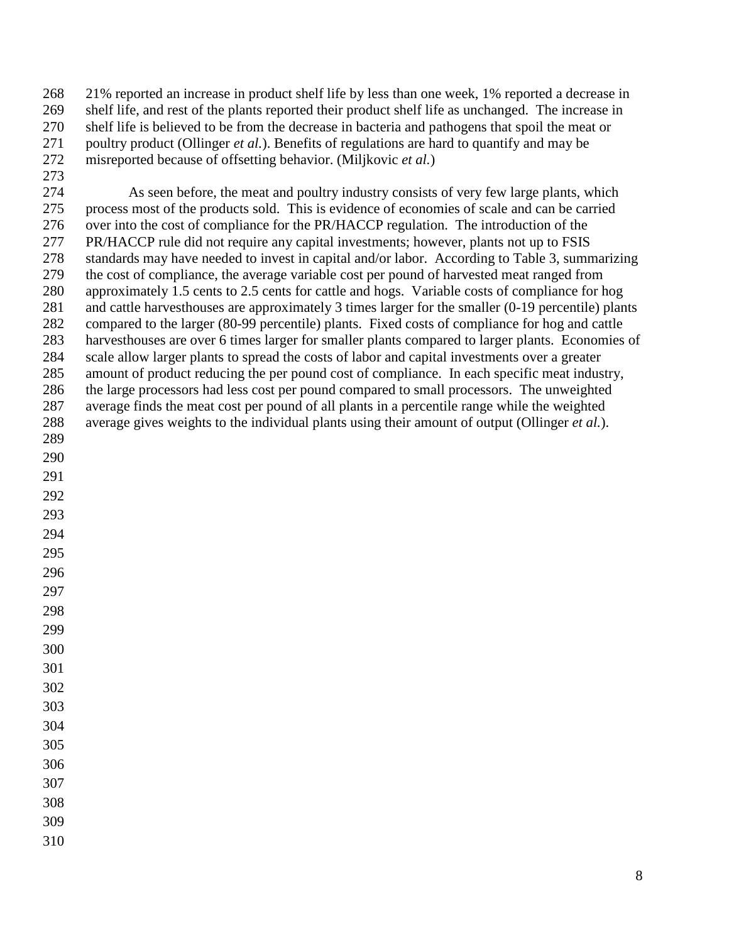268 21% reported an increase in product shelf life by less than one week, 1% reported a decrease in 269 shelf life, and rest of the plants reported their product shelf life as unchanged. The increase in 270 shelf life is believed to be from the decrease in bacteria and pathogens that spoil the meat or 271 poultry product (Ollinger *et al.*). Benefits of regulations are hard to quantify and may be 272 misreported because of offsetting behavior. (Miljkovic *et al.*)

273 274 As seen before, the meat and poultry industry consists of very few large plants, which 275 process most of the products sold. This is evidence of economies of scale and can be carried 276 over into the cost of compliance for the PR/HACCP regulation. The introduction of the 277 PR/HACCP rule did not require any capital investments; however, plants not up to FSIS 278 standards may have needed to invest in capital and/or labor. According to Table 3, summarizing 279 the cost of compliance, the average variable cost per pound of harvested meat ranged from 280 approximately 1.5 cents to 2.5 cents for cattle and hogs. Variable costs of compliance for hog 281 and cattle harvesthouses are approximately 3 times larger for the smaller (0-19 percentile) plants 282 compared to the larger (80-99 percentile) plants. Fixed costs of compliance for hog and cattle 283 harvesthouses are over 6 times larger for smaller plants compared to larger plants. Economies of 284 scale allow larger plants to spread the costs of labor and capital investments over a greater 285 amount of product reducing the per pound cost of compliance. In each specific meat industry, 286 the large processors had less cost per pound compared to small processors. The unweighted 287 average finds the meat cost per pound of all plants in a percentile range while the weighted 288 average gives weights to the individual plants using their amount of output (Ollinger *et al.*). 289 290 291 292 293 294 295 296

- 297
- 298
- 299
- 300
- 
- 301
- 302 303
- 304
- 305
- 306
- 307
- 308
- 309
- 310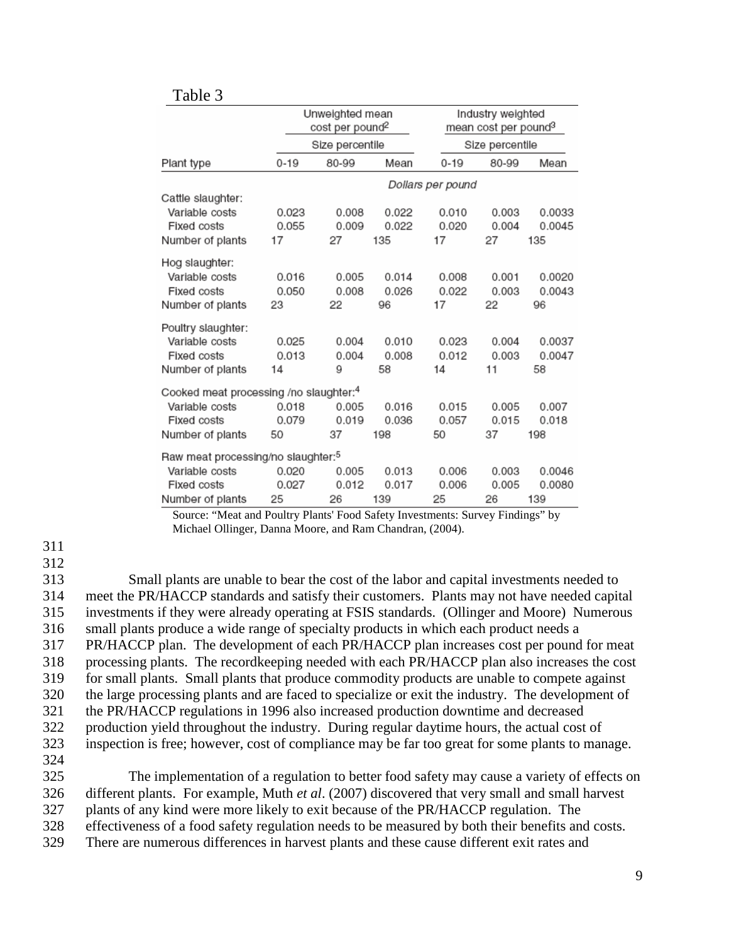| Table 3                                            |          |                                                |       |                                                       |                 |        |
|----------------------------------------------------|----------|------------------------------------------------|-------|-------------------------------------------------------|-----------------|--------|
|                                                    |          | Unweighted mean<br>cost per pound <sup>2</sup> |       | Industry weighted<br>mean cost per pound <sup>3</sup> |                 |        |
|                                                    |          | Size percentile                                |       |                                                       | Size percentile |        |
| Plant type                                         | $0 - 19$ | 80-99                                          | Mean  | $0 - 19$                                              | 80-99           | Mean   |
|                                                    |          |                                                |       | Dollars per pound                                     |                 |        |
| Cattle slaughter:                                  |          |                                                |       |                                                       |                 |        |
| Variable costs                                     | 0.023    | 0.008                                          | 0.022 | 0.010                                                 | 0.003           | 0.0033 |
| Fixed costs                                        | 0.055    | 0.009                                          | 0.022 | 0.020                                                 | 0.004           | 0.0045 |
| Number of plants                                   | 17       | 27                                             | 135   | 17                                                    | 27              | 135    |
| Hog slaughter:                                     |          |                                                |       |                                                       |                 |        |
| Variable costs                                     | 0.016    | 0.005                                          | 0.014 | 0.008                                                 | 0.001           | 0.0020 |
| Fixed costs                                        | 0.050    | 0.008                                          | 0.026 | 0.022                                                 | 0.003           | 0.0043 |
| Number of plants                                   | 23       | 22                                             | 96    | 17                                                    | 22              | 96     |
| Poultry slaughter:                                 |          |                                                |       |                                                       |                 |        |
| Variable costs                                     | 0.025    | 0.004                                          | 0.010 | 0.023                                                 | 0.004           | 0.0037 |
| Fixed costs                                        | 0.013    | 0.004                                          | 0.008 | 0.012                                                 | 0.003           | 0.0047 |
| Number of plants                                   | 14       | 9                                              | 58    | 14                                                    | 11              | 58     |
| Cooked meat processing /no slaughter: <sup>4</sup> |          |                                                |       |                                                       |                 |        |
| Variable costs                                     | 0.018    | 0.005                                          | 0.016 | 0.015                                                 | 0.005           | 0.007  |
| Fixed costs                                        | 0.079    | 0.019                                          | 0.036 | 0.057                                                 | 0.015           | 0.018  |
| Number of plants                                   | 50       | 37                                             | 198   | 50                                                    | 37              | 198    |
| Raw meat processing/no slaughter: <sup>5</sup>     |          |                                                |       |                                                       |                 |        |
| Variable costs                                     | 0.020    | 0.005                                          | 0.013 | 0.006                                                 | 0.003           | 0.0046 |
| Fixed costs                                        | 0.027    | 0.012                                          | 0.017 | 0.006                                                 | 0.005           | 0.0080 |
| Number of plants                                   | 25       | 26                                             | 139   | 25                                                    | 26              | 139    |

 Source: "Meat and Poultry Plants' Food Safety Investments: Survey Findings" by Michael Ollinger, Danna Moore, and Ram Chandran, (2004).

311

312

313 Small plants are unable to bear the cost of the labor and capital investments needed to 314 meet the PR/HACCP standards and satisfy their customers. Plants may not have needed capital 315 investments if they were already operating at FSIS standards. (Ollinger and Moore) Numerous 316 small plants produce a wide range of specialty products in which each product needs a 317 PR/HACCP plan. The development of each PR/HACCP plan increases cost per pound for meat 318 processing plants. The recordkeeping needed with each PR/HACCP plan also increases the cost 319 for small plants. Small plants that produce commodity products are unable to compete against 320 the large processing plants and are faced to specialize or exit the industry. The development of 321 the PR/HACCP regulations in 1996 also increased production downtime and decreased 322 production yield throughout the industry. During regular daytime hours, the actual cost of 323 inspection is free; however, cost of compliance may be far too great for some plants to manage. 324

325 The implementation of a regulation to better food safety may cause a variety of effects on 326 different plants. For example, Muth *et al*. (2007) discovered that very small and small harvest 327 plants of any kind were more likely to exit because of the PR/HACCP regulation. The

328 effectiveness of a food safety regulation needs to be measured by both their benefits and costs.

329 There are numerous differences in harvest plants and these cause different exit rates and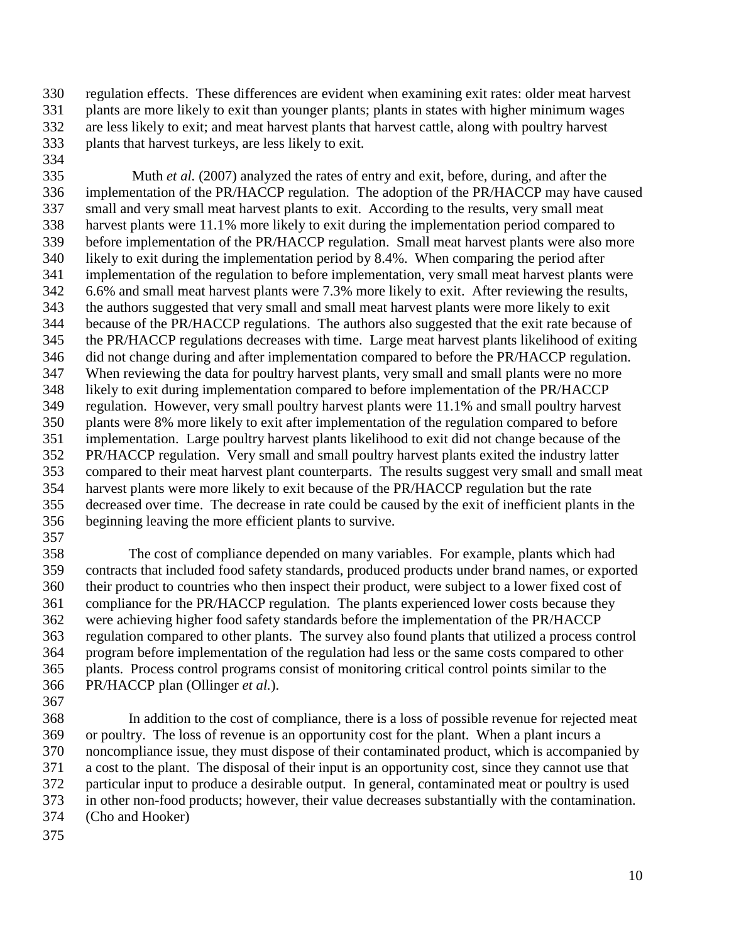330 regulation effects. These differences are evident when examining exit rates: older meat harvest 331 plants are more likely to exit than younger plants; plants in states with higher minimum wages 332 are less likely to exit; and meat harvest plants that harvest cattle, along with poultry harvest 333 plants that harvest turkeys, are less likely to exit.

334

335 Muth *et al.* (2007) analyzed the rates of entry and exit, before, during, and after the 336 implementation of the PR/HACCP regulation. The adoption of the PR/HACCP may have caused 337 small and very small meat harvest plants to exit. According to the results, very small meat 338 harvest plants were 11.1% more likely to exit during the implementation period compared to 339 before implementation of the PR/HACCP regulation. Small meat harvest plants were also more 340 likely to exit during the implementation period by 8.4%. When comparing the period after 341 implementation of the regulation to before implementation, very small meat harvest plants were 342 6.6% and small meat harvest plants were 7.3% more likely to exit. After reviewing the results, 343 the authors suggested that very small and small meat harvest plants were more likely to exit 344 because of the PR/HACCP regulations. The authors also suggested that the exit rate because of 345 the PR/HACCP regulations decreases with time. Large meat harvest plants likelihood of exiting 346 did not change during and after implementation compared to before the PR/HACCP regulation. 347 When reviewing the data for poultry harvest plants, very small and small plants were no more 348 likely to exit during implementation compared to before implementation of the PR/HACCP 349 regulation. However, very small poultry harvest plants were 11.1% and small poultry harvest 350 plants were 8% more likely to exit after implementation of the regulation compared to before 351 implementation. Large poultry harvest plants likelihood to exit did not change because of the 352 PR/HACCP regulation. Very small and small poultry harvest plants exited the industry latter 353 compared to their meat harvest plant counterparts. The results suggest very small and small meat 354 harvest plants were more likely to exit because of the PR/HACCP regulation but the rate 355 decreased over time. The decrease in rate could be caused by the exit of inefficient plants in the 356 beginning leaving the more efficient plants to survive.

357

358 The cost of compliance depended on many variables. For example, plants which had 359 contracts that included food safety standards, produced products under brand names, or exported 360 their product to countries who then inspect their product, were subject to a lower fixed cost of 361 compliance for the PR/HACCP regulation. The plants experienced lower costs because they 362 were achieving higher food safety standards before the implementation of the PR/HACCP 363 regulation compared to other plants. The survey also found plants that utilized a process control 364 program before implementation of the regulation had less or the same costs compared to other 365 plants. Process control programs consist of monitoring critical control points similar to the 366 PR/HACCP plan (Ollinger *et al.*).

367

368 In addition to the cost of compliance, there is a loss of possible revenue for rejected meat 369 or poultry. The loss of revenue is an opportunity cost for the plant. When a plant incurs a 370 noncompliance issue, they must dispose of their contaminated product, which is accompanied by 371 a cost to the plant. The disposal of their input is an opportunity cost, since they cannot use that 372 particular input to produce a desirable output. In general, contaminated meat or poultry is used 373 in other non-food products; however, their value decreases substantially with the contamination. 374 (Cho and Hooker)

375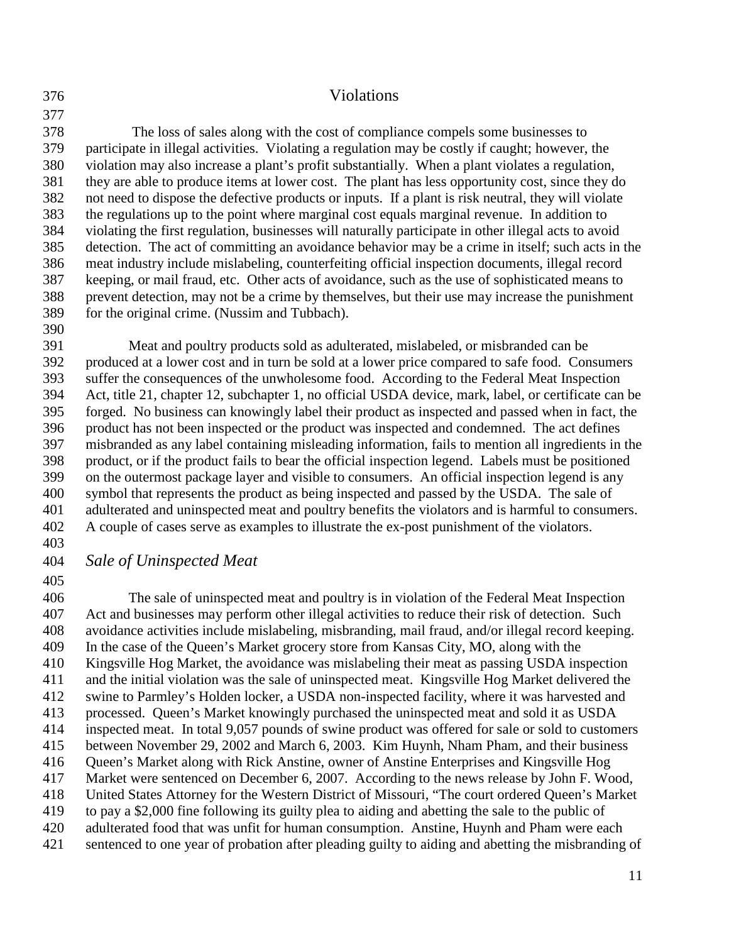#### 376 Violations

378 The loss of sales along with the cost of compliance compels some businesses to 379 participate in illegal activities. Violating a regulation may be costly if caught; however, the 380 violation may also increase a plant's profit substantially. When a plant violates a regulation, 381 they are able to produce items at lower cost. The plant has less opportunity cost, since they do 382 not need to dispose the defective products or inputs. If a plant is risk neutral, they will violate 383 the regulations up to the point where marginal cost equals marginal revenue. In addition to 384 violating the first regulation, businesses will naturally participate in other illegal acts to avoid 385 detection. The act of committing an avoidance behavior may be a crime in itself; such acts in the 386 meat industry include mislabeling, counterfeiting official inspection documents, illegal record 387 keeping, or mail fraud, etc. Other acts of avoidance, such as the use of sophisticated means to 388 prevent detection, may not be a crime by themselves, but their use may increase the punishment 389 for the original crime. (Nussim and Tubbach).

390

391 Meat and poultry products sold as adulterated, mislabeled, or misbranded can be 392 produced at a lower cost and in turn be sold at a lower price compared to safe food. Consumers 393 suffer the consequences of the unwholesome food. According to the Federal Meat Inspection 394 Act, title 21, chapter 12, subchapter 1, no official USDA device, mark, label, or certificate can be 395 forged. No business can knowingly label their product as inspected and passed when in fact, the 396 product has not been inspected or the product was inspected and condemned. The act defines 397 misbranded as any label containing misleading information, fails to mention all ingredients in the 398 product, or if the product fails to bear the official inspection legend. Labels must be positioned 399 on the outermost package layer and visible to consumers. An official inspection legend is any 400 symbol that represents the product as being inspected and passed by the USDA. The sale of 401 adulterated and uninspected meat and poultry benefits the violators and is harmful to consumers. 402 A couple of cases serve as examples to illustrate the ex-post punishment of the violators.

403

## 404 *Sale of Uninspected Meat*

405

406 The sale of uninspected meat and poultry is in violation of the Federal Meat Inspection 407 Act and businesses may perform other illegal activities to reduce their risk of detection. Such 408 avoidance activities include mislabeling, misbranding, mail fraud, and/or illegal record keeping. 409 In the case of the Queen's Market grocery store from Kansas City, MO, along with the 410 Kingsville Hog Market, the avoidance was mislabeling their meat as passing USDA inspection 411 and the initial violation was the sale of uninspected meat. Kingsville Hog Market delivered the 412 swine to Parmley's Holden locker, a USDA non-inspected facility, where it was harvested and 413 processed. Queen's Market knowingly purchased the uninspected meat and sold it as USDA 414 inspected meat. In total 9,057 pounds of swine product was offered for sale or sold to customers 415 between November 29, 2002 and March 6, 2003. Kim Huynh, Nham Pham, and their business 416 Queen's Market along with Rick Anstine, owner of Anstine Enterprises and Kingsville Hog 417 Market were sentenced on December 6, 2007. According to the news release by John F. Wood, 418 United States Attorney for the Western District of Missouri, "The court ordered Queen's Market 419 to pay a \$2,000 fine following its guilty plea to aiding and abetting the sale to the public of 420 adulterated food that was unfit for human consumption. Anstine, Huynh and Pham were each 421 sentenced to one year of probation after pleading guilty to aiding and abetting the misbranding of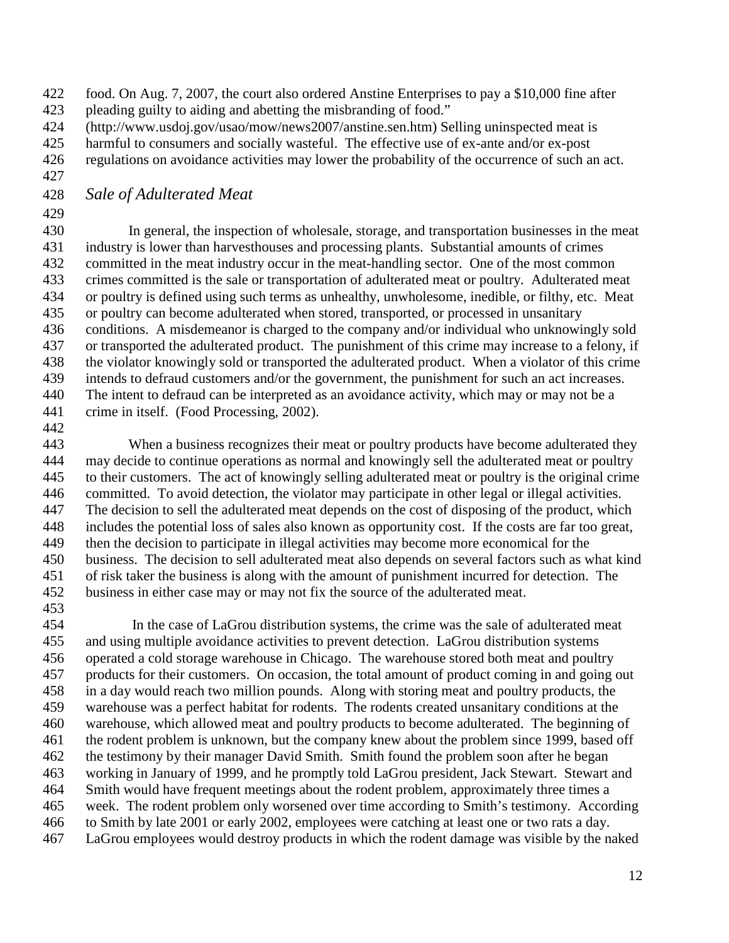- 422 food. On Aug. 7, 2007, the court also ordered Anstine Enterprises to pay a \$10,000 fine after
- 423 pleading guilty to aiding and abetting the misbranding of food."
- 424 (http://www.usdoj.gov/usao/mow/news2007/anstine.sen.htm) Selling uninspected meat is
- 425 harmful to consumers and socially wasteful. The effective use of ex-ante and/or ex-post
- 426 regulations on avoidance activities may lower the probability of the occurrence of such an act.
- 427

# 428 *Sale of Adulterated Meat*

429

430 In general, the inspection of wholesale, storage, and transportation businesses in the meat 431 industry is lower than harvesthouses and processing plants. Substantial amounts of crimes 432 committed in the meat industry occur in the meat-handling sector. One of the most common 433 crimes committed is the sale or transportation of adulterated meat or poultry. Adulterated meat 434 or poultry is defined using such terms as unhealthy, unwholesome, inedible, or filthy, etc. Meat 435 or poultry can become adulterated when stored, transported, or processed in unsanitary 436 conditions. A misdemeanor is charged to the company and/or individual who unknowingly sold 437 or transported the adulterated product. The punishment of this crime may increase to a felony, if 438 the violator knowingly sold or transported the adulterated product. When a violator of this crime 439 intends to defraud customers and/or the government, the punishment for such an act increases. 440 The intent to defraud can be interpreted as an avoidance activity, which may or may not be a 441 crime in itself. (Food Processing, 2002).

442

443 When a business recognizes their meat or poultry products have become adulterated they 444 may decide to continue operations as normal and knowingly sell the adulterated meat or poultry 445 to their customers. The act of knowingly selling adulterated meat or poultry is the original crime 446 committed. To avoid detection, the violator may participate in other legal or illegal activities. 447 The decision to sell the adulterated meat depends on the cost of disposing of the product, which 448 includes the potential loss of sales also known as opportunity cost. If the costs are far too great, 449 then the decision to participate in illegal activities may become more economical for the 450 business. The decision to sell adulterated meat also depends on several factors such as what kind 451 of risk taker the business is along with the amount of punishment incurred for detection. The 452 business in either case may or may not fix the source of the adulterated meat. 453

454 In the case of LaGrou distribution systems, the crime was the sale of adulterated meat 455 and using multiple avoidance activities to prevent detection. LaGrou distribution systems 456 operated a cold storage warehouse in Chicago. The warehouse stored both meat and poultry 457 products for their customers. On occasion, the total amount of product coming in and going out 458 in a day would reach two million pounds. Along with storing meat and poultry products, the 459 warehouse was a perfect habitat for rodents. The rodents created unsanitary conditions at the 460 warehouse, which allowed meat and poultry products to become adulterated. The beginning of 461 the rodent problem is unknown, but the company knew about the problem since 1999, based off 462 the testimony by their manager David Smith. Smith found the problem soon after he began 463 working in January of 1999, and he promptly told LaGrou president, Jack Stewart. Stewart and 464 Smith would have frequent meetings about the rodent problem, approximately three times a 465 week. The rodent problem only worsened over time according to Smith's testimony. According 466 to Smith by late 2001 or early 2002, employees were catching at least one or two rats a day. 467 LaGrou employees would destroy products in which the rodent damage was visible by the naked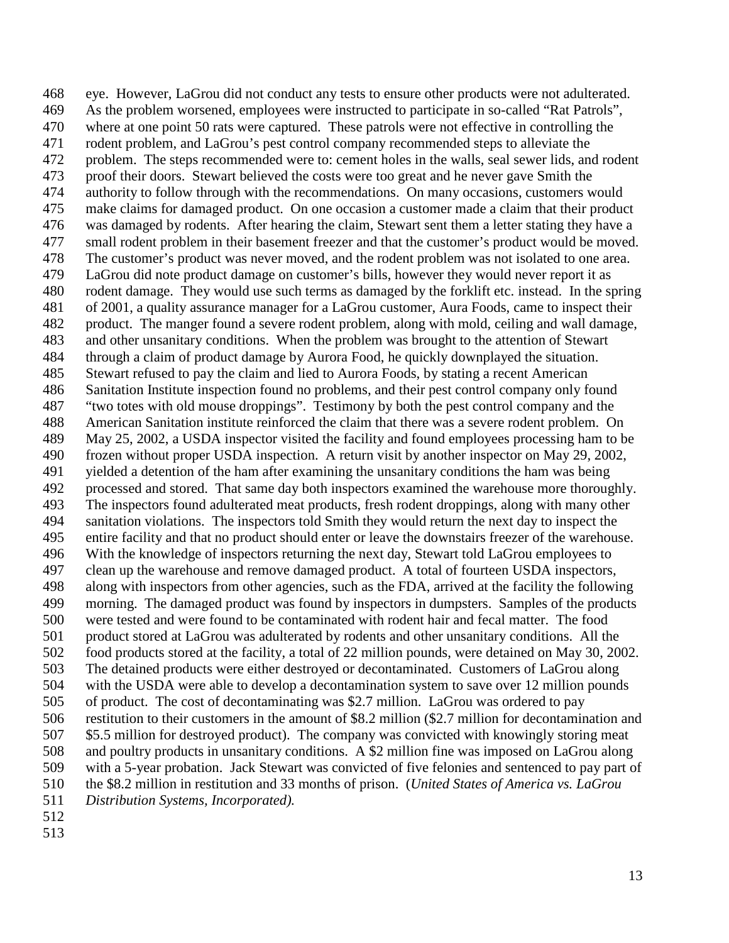468 eye. However, LaGrou did not conduct any tests to ensure other products were not adulterated. 469 As the problem worsened, employees were instructed to participate in so-called "Rat Patrols", 470 where at one point 50 rats were captured. These patrols were not effective in controlling the 471 rodent problem, and LaGrou's pest control company recommended steps to alleviate the 472 problem. The steps recommended were to: cement holes in the walls, seal sewer lids, and rodent 473 proof their doors. Stewart believed the costs were too great and he never gave Smith the 474 authority to follow through with the recommendations. On many occasions, customers would 475 make claims for damaged product. On one occasion a customer made a claim that their product 476 was damaged by rodents. After hearing the claim, Stewart sent them a letter stating they have a 477 small rodent problem in their basement freezer and that the customer's product would be moved. 478 The customer's product was never moved, and the rodent problem was not isolated to one area. 479 LaGrou did note product damage on customer's bills, however they would never report it as 480 rodent damage. They would use such terms as damaged by the forklift etc. instead. In the spring 481 of 2001, a quality assurance manager for a LaGrou customer, Aura Foods, came to inspect their 482 product. The manger found a severe rodent problem, along with mold, ceiling and wall damage, 483 and other unsanitary conditions. When the problem was brought to the attention of Stewart 484 through a claim of product damage by Aurora Food, he quickly downplayed the situation. 485 Stewart refused to pay the claim and lied to Aurora Foods, by stating a recent American 486 Sanitation Institute inspection found no problems, and their pest control company only found 487 "two totes with old mouse droppings". Testimony by both the pest control company and the 488 American Sanitation institute reinforced the claim that there was a severe rodent problem. On 489 May 25, 2002, a USDA inspector visited the facility and found employees processing ham to be 490 frozen without proper USDA inspection. A return visit by another inspector on May 29, 2002, 491 yielded a detention of the ham after examining the unsanitary conditions the ham was being 492 processed and stored. That same day both inspectors examined the warehouse more thoroughly. 493 The inspectors found adulterated meat products, fresh rodent droppings, along with many other 494 sanitation violations. The inspectors told Smith they would return the next day to inspect the 495 entire facility and that no product should enter or leave the downstairs freezer of the warehouse. 496 With the knowledge of inspectors returning the next day, Stewart told LaGrou employees to 497 clean up the warehouse and remove damaged product. A total of fourteen USDA inspectors, 498 along with inspectors from other agencies, such as the FDA, arrived at the facility the following 499 morning. The damaged product was found by inspectors in dumpsters. Samples of the products 500 were tested and were found to be contaminated with rodent hair and fecal matter. The food 501 product stored at LaGrou was adulterated by rodents and other unsanitary conditions. All the 502 food products stored at the facility, a total of 22 million pounds, were detained on May 30, 2002. 503 The detained products were either destroyed or decontaminated. Customers of LaGrou along 504 with the USDA were able to develop a decontamination system to save over 12 million pounds 505 of product. The cost of decontaminating was \$2.7 million. LaGrou was ordered to pay 506 restitution to their customers in the amount of \$8.2 million (\$2.7 million for decontamination and 507 \$5.5 million for destroyed product). The company was convicted with knowingly storing meat 508 and poultry products in unsanitary conditions. A \$2 million fine was imposed on LaGrou along 509 with a 5-year probation. Jack Stewart was convicted of five felonies and sentenced to pay part of 510 the \$8.2 million in restitution and 33 months of prison. (*United States of America vs. LaGrou*  511 *Distribution Systems, Incorporated).*  512

513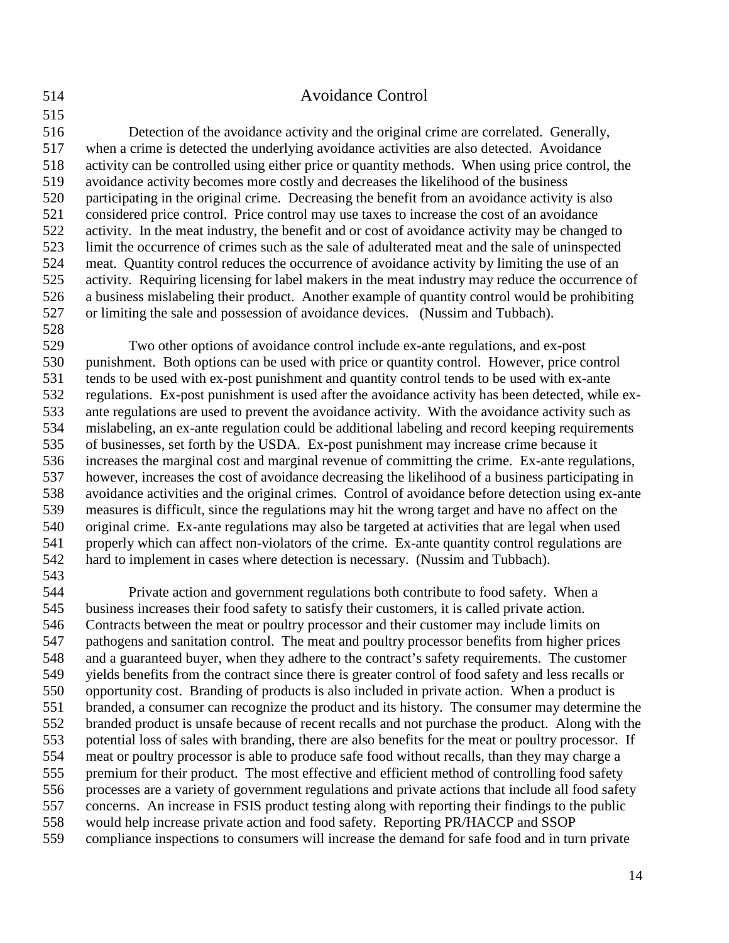#### 514 Avoidance Control

516 Detection of the avoidance activity and the original crime are correlated. Generally, 517 when a crime is detected the underlying avoidance activities are also detected. Avoidance 518 activity can be controlled using either price or quantity methods. When using price control, the 519 avoidance activity becomes more costly and decreases the likelihood of the business 520 participating in the original crime. Decreasing the benefit from an avoidance activity is also 521 considered price control. Price control may use taxes to increase the cost of an avoidance 522 activity. In the meat industry, the benefit and or cost of avoidance activity may be changed to 523 limit the occurrence of crimes such as the sale of adulterated meat and the sale of uninspected 524 meat. Quantity control reduces the occurrence of avoidance activity by limiting the use of an 525 activity. Requiring licensing for label makers in the meat industry may reduce the occurrence of 526 a business mislabeling their product. Another example of quantity control would be prohibiting 527 or limiting the sale and possession of avoidance devices. (Nussim and Tubbach). 528

529 Two other options of avoidance control include ex-ante regulations, and ex-post 530 punishment. Both options can be used with price or quantity control. However, price control 531 tends to be used with ex-post punishment and quantity control tends to be used with ex-ante 532 regulations. Ex-post punishment is used after the avoidance activity has been detected, while ex-533 ante regulations are used to prevent the avoidance activity. With the avoidance activity such as 534 mislabeling, an ex-ante regulation could be additional labeling and record keeping requirements 535 of businesses, set forth by the USDA. Ex-post punishment may increase crime because it 536 increases the marginal cost and marginal revenue of committing the crime. Ex-ante regulations, 537 however, increases the cost of avoidance decreasing the likelihood of a business participating in 538 avoidance activities and the original crimes. Control of avoidance before detection using ex-ante 539 measures is difficult, since the regulations may hit the wrong target and have no affect on the 540 original crime. Ex-ante regulations may also be targeted at activities that are legal when used 541 properly which can affect non-violators of the crime. Ex-ante quantity control regulations are 542 hard to implement in cases where detection is necessary. (Nussim and Tubbach).

543

544 Private action and government regulations both contribute to food safety. When a 545 business increases their food safety to satisfy their customers, it is called private action. 546 Contracts between the meat or poultry processor and their customer may include limits on 547 pathogens and sanitation control. The meat and poultry processor benefits from higher prices 548 and a guaranteed buyer, when they adhere to the contract's safety requirements. The customer 549 yields benefits from the contract since there is greater control of food safety and less recalls or 550 opportunity cost. Branding of products is also included in private action. When a product is 551 branded, a consumer can recognize the product and its history. The consumer may determine the 552 branded product is unsafe because of recent recalls and not purchase the product. Along with the 553 potential loss of sales with branding, there are also benefits for the meat or poultry processor. If 554 meat or poultry processor is able to produce safe food without recalls, than they may charge a 555 premium for their product. The most effective and efficient method of controlling food safety 556 processes are a variety of government regulations and private actions that include all food safety 557 concerns. An increase in FSIS product testing along with reporting their findings to the public 558 would help increase private action and food safety. Reporting PR/HACCP and SSOP 559 compliance inspections to consumers will increase the demand for safe food and in turn private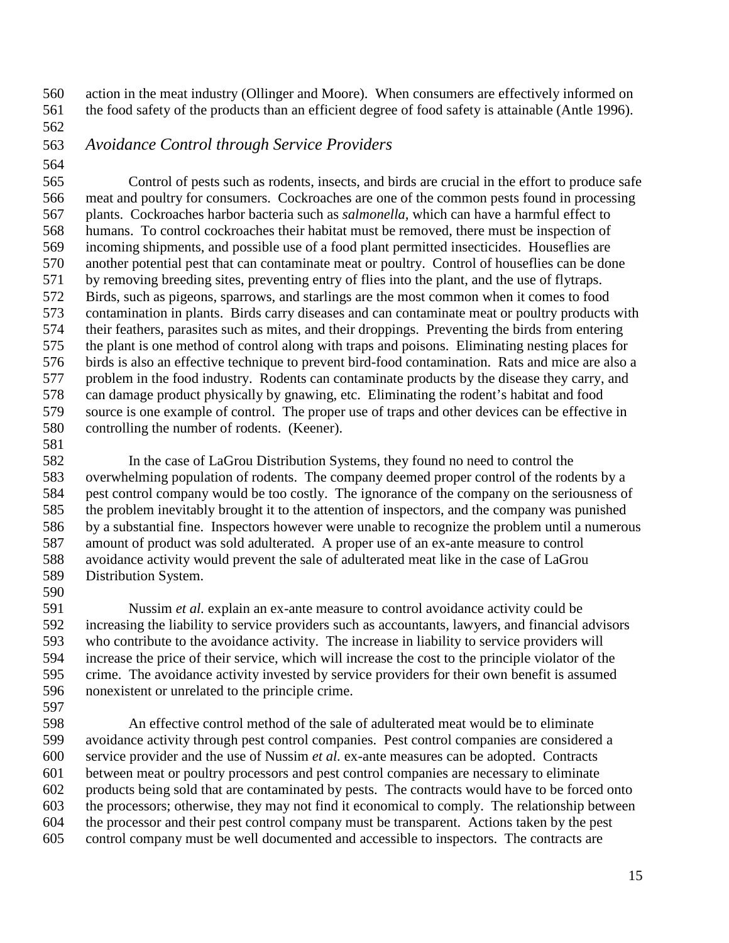560 action in the meat industry (Ollinger and Moore). When consumers are effectively informed on 561 the food safety of the products than an efficient degree of food safety is attainable (Antle 1996).

562

# 563 *Avoidance Control through Service Providers*

564

565 Control of pests such as rodents, insects, and birds are crucial in the effort to produce safe 566 meat and poultry for consumers. Cockroaches are one of the common pests found in processing 567 plants. Cockroaches harbor bacteria such as *salmonella,* which can have a harmful effect to 568 humans. To control cockroaches their habitat must be removed, there must be inspection of 569 incoming shipments, and possible use of a food plant permitted insecticides. Houseflies are 570 another potential pest that can contaminate meat or poultry. Control of houseflies can be done 571 by removing breeding sites, preventing entry of flies into the plant, and the use of flytraps. 572 Birds, such as pigeons, sparrows, and starlings are the most common when it comes to food 573 contamination in plants. Birds carry diseases and can contaminate meat or poultry products with 574 their feathers, parasites such as mites, and their droppings. Preventing the birds from entering 575 the plant is one method of control along with traps and poisons. Eliminating nesting places for 576 birds is also an effective technique to prevent bird-food contamination. Rats and mice are also a 577 problem in the food industry. Rodents can contaminate products by the disease they carry, and 578 can damage product physically by gnawing, etc. Eliminating the rodent's habitat and food 579 source is one example of control. The proper use of traps and other devices can be effective in 580 controlling the number of rodents. (Keener).

581

582 In the case of LaGrou Distribution Systems, they found no need to control the 583 overwhelming population of rodents. The company deemed proper control of the rodents by a 584 pest control company would be too costly. The ignorance of the company on the seriousness of 585 the problem inevitably brought it to the attention of inspectors, and the company was punished 586 by a substantial fine. Inspectors however were unable to recognize the problem until a numerous 587 amount of product was sold adulterated. A proper use of an ex-ante measure to control 588 avoidance activity would prevent the sale of adulterated meat like in the case of LaGrou 589 Distribution System.

590

591 Nussim *et al.* explain an ex-ante measure to control avoidance activity could be 592 increasing the liability to service providers such as accountants, lawyers, and financial advisors 593 who contribute to the avoidance activity. The increase in liability to service providers will 594 increase the price of their service, which will increase the cost to the principle violator of the 595 crime. The avoidance activity invested by service providers for their own benefit is assumed 596 nonexistent or unrelated to the principle crime.

597

598 An effective control method of the sale of adulterated meat would be to eliminate 599 avoidance activity through pest control companies. Pest control companies are considered a 600 service provider and the use of Nussim *et al.* ex-ante measures can be adopted. Contracts 601 between meat or poultry processors and pest control companies are necessary to eliminate 602 products being sold that are contaminated by pests. The contracts would have to be forced onto 603 the processors; otherwise, they may not find it economical to comply. The relationship between 604 the processor and their pest control company must be transparent. Actions taken by the pest 605 control company must be well documented and accessible to inspectors. The contracts are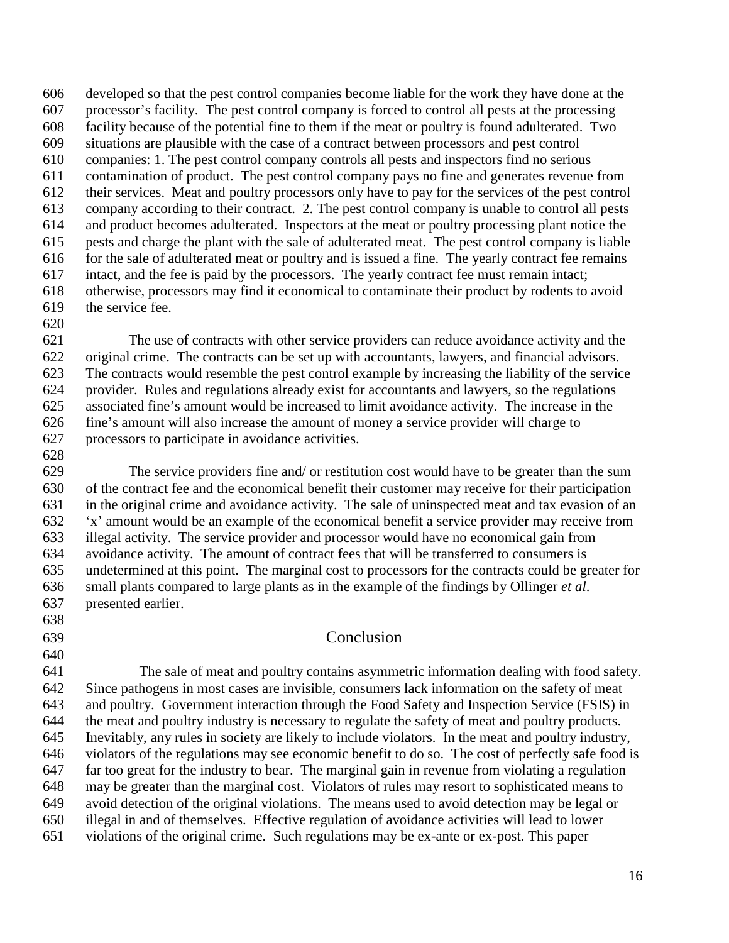606 developed so that the pest control companies become liable for the work they have done at the 607 processor's facility. The pest control company is forced to control all pests at the processing 608 facility because of the potential fine to them if the meat or poultry is found adulterated. Two 609 situations are plausible with the case of a contract between processors and pest control 610 companies: 1. The pest control company controls all pests and inspectors find no serious 611 contamination of product. The pest control company pays no fine and generates revenue from 612 their services. Meat and poultry processors only have to pay for the services of the pest control 613 company according to their contract. 2. The pest control company is unable to control all pests 614 and product becomes adulterated. Inspectors at the meat or poultry processing plant notice the 615 pests and charge the plant with the sale of adulterated meat. The pest control company is liable 616 for the sale of adulterated meat or poultry and is issued a fine. The yearly contract fee remains 617 intact, and the fee is paid by the processors. The yearly contract fee must remain intact; 618 otherwise, processors may find it economical to contaminate their product by rodents to avoid 619 the service fee.

620

621 The use of contracts with other service providers can reduce avoidance activity and the 622 original crime. The contracts can be set up with accountants, lawyers, and financial advisors. 623 The contracts would resemble the pest control example by increasing the liability of the service 624 provider. Rules and regulations already exist for accountants and lawyers, so the regulations 625 associated fine's amount would be increased to limit avoidance activity. The increase in the 626 fine's amount will also increase the amount of money a service provider will charge to 627 processors to participate in avoidance activities.

628

629 The service providers fine and/ or restitution cost would have to be greater than the sum 630 of the contract fee and the economical benefit their customer may receive for their participation 631 in the original crime and avoidance activity. The sale of uninspected meat and tax evasion of an 632 'x' amount would be an example of the economical benefit a service provider may receive from 633 illegal activity. The service provider and processor would have no economical gain from 634 avoidance activity. The amount of contract fees that will be transferred to consumers is 635 undetermined at this point. The marginal cost to processors for the contracts could be greater for 636 small plants compared to large plants as in the example of the findings by Ollinger *et al*. 637 presented earlier.

- 638
- 640

# 639 Conclusion

641 The sale of meat and poultry contains asymmetric information dealing with food safety. 642 Since pathogens in most cases are invisible, consumers lack information on the safety of meat 643 and poultry. Government interaction through the Food Safety and Inspection Service (FSIS) in 644 the meat and poultry industry is necessary to regulate the safety of meat and poultry products. 645 Inevitably, any rules in society are likely to include violators. In the meat and poultry industry, 646 violators of the regulations may see economic benefit to do so. The cost of perfectly safe food is 647 far too great for the industry to bear. The marginal gain in revenue from violating a regulation 648 may be greater than the marginal cost. Violators of rules may resort to sophisticated means to 649 avoid detection of the original violations. The means used to avoid detection may be legal or 650 illegal in and of themselves. Effective regulation of avoidance activities will lead to lower 651 violations of the original crime. Such regulations may be ex-ante or ex-post. This paper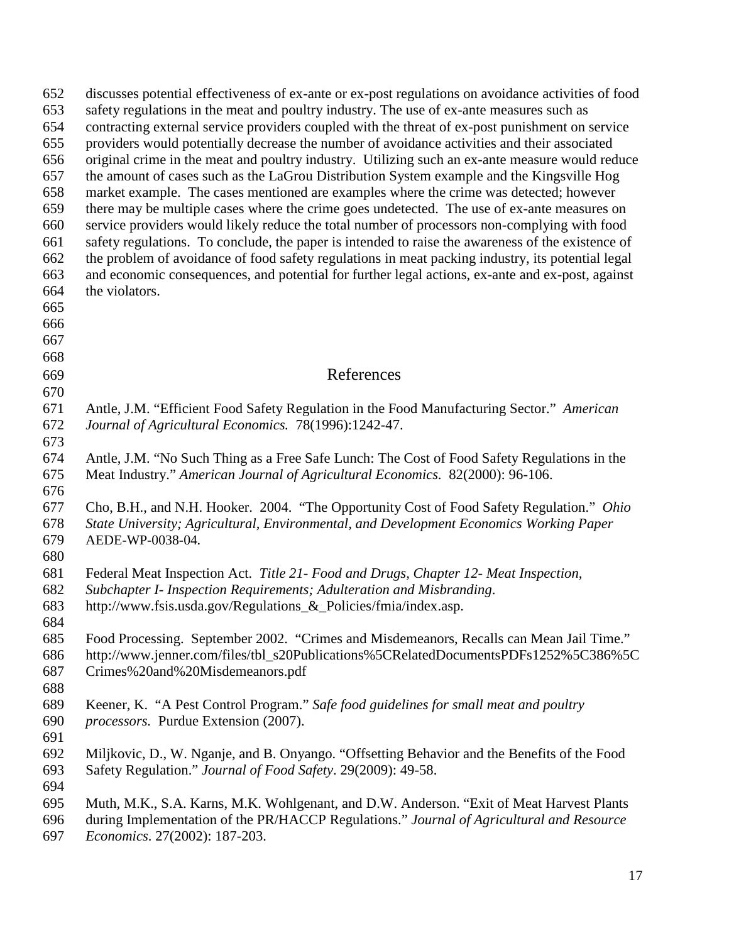| 652<br>653<br>654<br>655<br>656<br>657<br>658<br>659<br>660<br>661<br>662<br>663<br>664<br>665<br>666<br>667<br>668 | discusses potential effectiveness of ex-ante or ex-post regulations on avoidance activities of food<br>safety regulations in the meat and poultry industry. The use of ex-ante measures such as<br>contracting external service providers coupled with the threat of ex-post punishment on service<br>providers would potentially decrease the number of avoidance activities and their associated<br>original crime in the meat and poultry industry. Utilizing such an ex-ante measure would reduce<br>the amount of cases such as the LaGrou Distribution System example and the Kingsville Hog<br>market example. The cases mentioned are examples where the crime was detected; however<br>there may be multiple cases where the crime goes undetected. The use of ex-ante measures on<br>service providers would likely reduce the total number of processors non-complying with food<br>safety regulations. To conclude, the paper is intended to raise the awareness of the existence of<br>the problem of avoidance of food safety regulations in meat packing industry, its potential legal<br>and economic consequences, and potential for further legal actions, ex-ante and ex-post, against<br>the violators. |
|---------------------------------------------------------------------------------------------------------------------|-----------------------------------------------------------------------------------------------------------------------------------------------------------------------------------------------------------------------------------------------------------------------------------------------------------------------------------------------------------------------------------------------------------------------------------------------------------------------------------------------------------------------------------------------------------------------------------------------------------------------------------------------------------------------------------------------------------------------------------------------------------------------------------------------------------------------------------------------------------------------------------------------------------------------------------------------------------------------------------------------------------------------------------------------------------------------------------------------------------------------------------------------------------------------------------------------------------------------------|
| 669                                                                                                                 | References                                                                                                                                                                                                                                                                                                                                                                                                                                                                                                                                                                                                                                                                                                                                                                                                                                                                                                                                                                                                                                                                                                                                                                                                                  |
| 670                                                                                                                 |                                                                                                                                                                                                                                                                                                                                                                                                                                                                                                                                                                                                                                                                                                                                                                                                                                                                                                                                                                                                                                                                                                                                                                                                                             |
| 671<br>672<br>673                                                                                                   | Antle, J.M. "Efficient Food Safety Regulation in the Food Manufacturing Sector." American<br>Journal of Agricultural Economics. 78(1996):1242-47.                                                                                                                                                                                                                                                                                                                                                                                                                                                                                                                                                                                                                                                                                                                                                                                                                                                                                                                                                                                                                                                                           |
| 674<br>675<br>676                                                                                                   | Antle, J.M. "No Such Thing as a Free Safe Lunch: The Cost of Food Safety Regulations in the<br>Meat Industry." American Journal of Agricultural Economics. 82(2000): 96-106.                                                                                                                                                                                                                                                                                                                                                                                                                                                                                                                                                                                                                                                                                                                                                                                                                                                                                                                                                                                                                                                |
| 677<br>678<br>679<br>680                                                                                            | Cho, B.H., and N.H. Hooker. 2004. "The Opportunity Cost of Food Safety Regulation." Ohio<br>State University; Agricultural, Environmental, and Development Economics Working Paper<br>AEDE-WP-0038-04.                                                                                                                                                                                                                                                                                                                                                                                                                                                                                                                                                                                                                                                                                                                                                                                                                                                                                                                                                                                                                      |
| 681<br>682<br>683                                                                                                   | Federal Meat Inspection Act. Title 21- Food and Drugs, Chapter 12- Meat Inspection,<br>Subchapter I- Inspection Requirements; Adulteration and Misbranding.<br>http://www.fsis.usda.gov/Regulations_&_Policies/fmia/index.asp.                                                                                                                                                                                                                                                                                                                                                                                                                                                                                                                                                                                                                                                                                                                                                                                                                                                                                                                                                                                              |
| 684<br>685<br>686<br>687<br>688                                                                                     | Food Processing. September 2002. "Crimes and Misdemeanors, Recalls can Mean Jail Time."<br>http://www.jenner.com/files/tbl_s20Publications%5CRelatedDocumentsPDFs1252%5C386%5C<br>Crimes%20and%20Misdemeanors.pdf                                                                                                                                                                                                                                                                                                                                                                                                                                                                                                                                                                                                                                                                                                                                                                                                                                                                                                                                                                                                           |
| 689<br>690<br>691                                                                                                   | Keener, K. "A Pest Control Program." Safe food guidelines for small meat and poultry<br>processors. Purdue Extension (2007).                                                                                                                                                                                                                                                                                                                                                                                                                                                                                                                                                                                                                                                                                                                                                                                                                                                                                                                                                                                                                                                                                                |
| 692<br>693<br>694                                                                                                   | Miljkovic, D., W. Nganje, and B. Onyango. "Offsetting Behavior and the Benefits of the Food<br>Safety Regulation." Journal of Food Safety. 29(2009): 49-58.                                                                                                                                                                                                                                                                                                                                                                                                                                                                                                                                                                                                                                                                                                                                                                                                                                                                                                                                                                                                                                                                 |
| 695<br>696<br>697                                                                                                   | Muth, M.K., S.A. Karns, M.K. Wohlgenant, and D.W. Anderson. "Exit of Meat Harvest Plants<br>during Implementation of the PR/HACCP Regulations." Journal of Agricultural and Resource<br>Economics. 27(2002): 187-203.                                                                                                                                                                                                                                                                                                                                                                                                                                                                                                                                                                                                                                                                                                                                                                                                                                                                                                                                                                                                       |